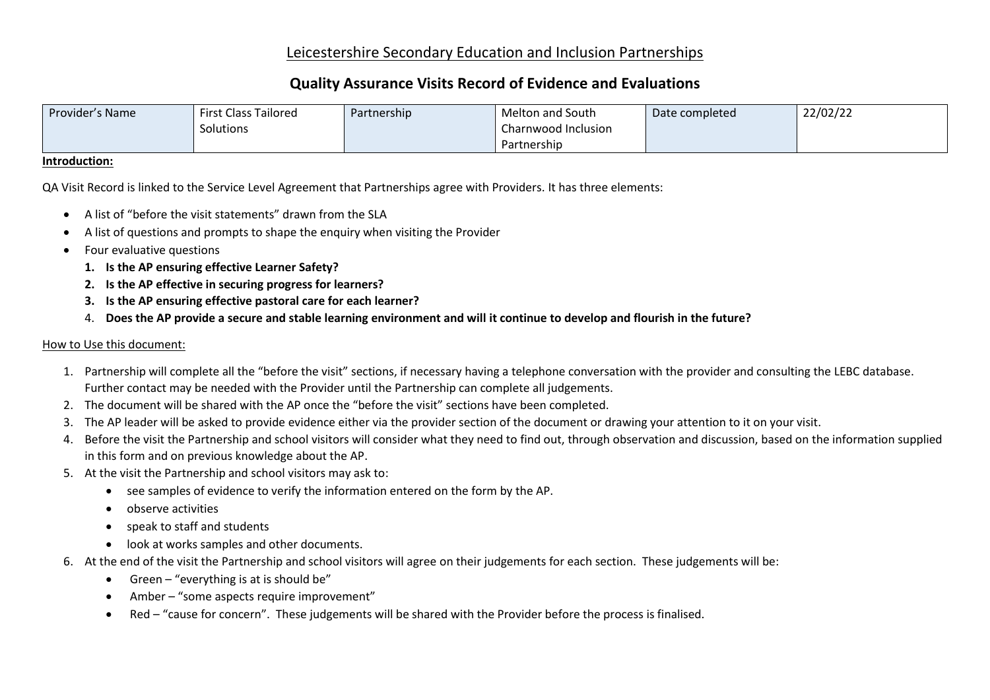## Leicestershire Secondary Education and Inclusion Partnerships

# **Quality Assurance Visits Record of Evidence and Evaluations**

| Provider's Name | <b>First Class Tailored</b> | Partnership | Melton and South    | Date completed | 22/02/22 |
|-----------------|-----------------------------|-------------|---------------------|----------------|----------|
|                 | Solutions                   |             | Charnwood Inclusion |                |          |
|                 |                             |             | Partnership         |                |          |

#### **Introduction:**

QA Visit Record is linked to the Service Level Agreement that Partnerships agree with Providers. It has three elements:

- A list of "before the visit statements" drawn from the SLA
- A list of questions and prompts to shape the enquiry when visiting the Provider
- Four evaluative questions
	- **1. Is the AP ensuring effective Learner Safety?**
	- **2. Is the AP effective in securing progress for learners?**
	- **3. Is the AP ensuring effective pastoral care for each learner?**
	- 4. **Does the AP provide a secure and stable learning environment and will it continue to develop and flourish in the future?**

### How to Use this document:

- 1. Partnership will complete all the "before the visit" sections, if necessary having a telephone conversation with the provider and consulting the LEBC database. Further contact may be needed with the Provider until the Partnership can complete all judgements.
- 2. The document will be shared with the AP once the "before the visit" sections have been completed.
- 3. The AP leader will be asked to provide evidence either via the provider section of the document or drawing your attention to it on your visit.
- 4. Before the visit the Partnership and school visitors will consider what they need to find out, through observation and discussion, based on the information supplied in this form and on previous knowledge about the AP.
- 5. At the visit the Partnership and school visitors may ask to:
	- see samples of evidence to verify the information entered on the form by the AP.
	- observe activities
	- speak to staff and students
	- look at works samples and other documents.
- 6. At the end of the visit the Partnership and school visitors will agree on their judgements for each section. These judgements will be:
	- Green "everything is at is should be"
	- Amber "some aspects require improvement"
	- Red "cause for concern". These judgements will be shared with the Provider before the process is finalised.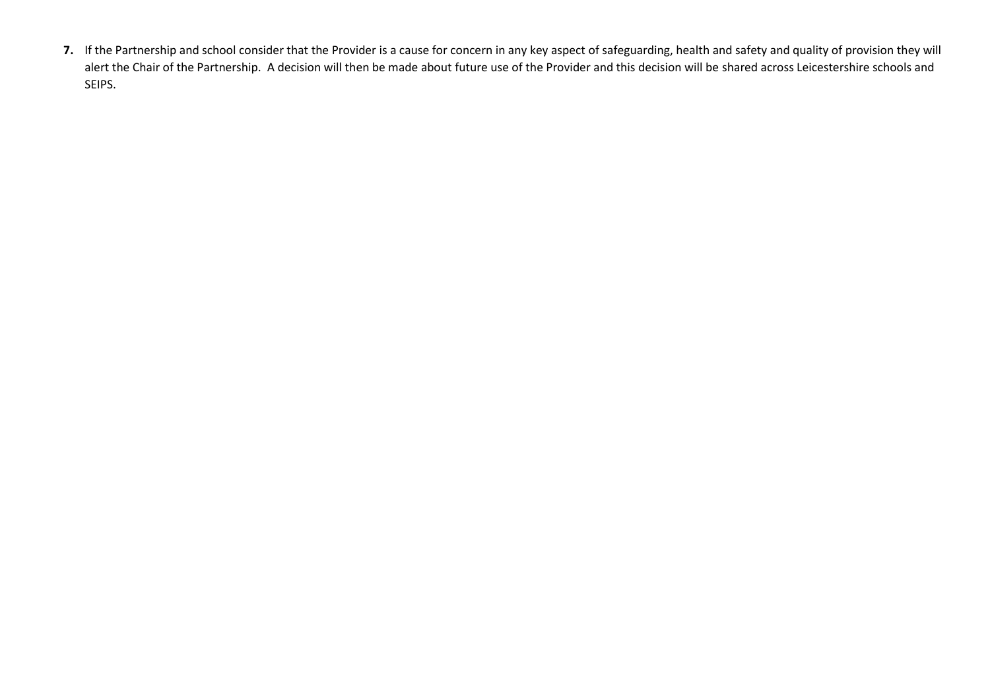**7.** If the Partnership and school consider that the Provider is a cause for concern in any key aspect of safeguarding, health and safety and quality of provision they will alert the Chair of the Partnership. A decision will then be made about future use of the Provider and this decision will be shared across Leicestershire schools and SEIPS.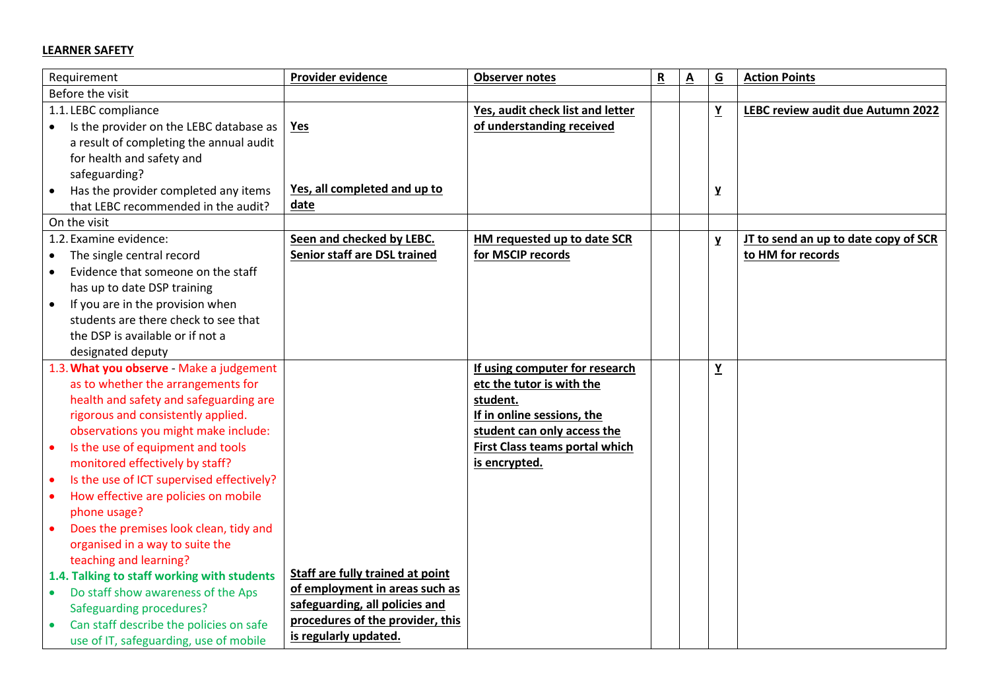## **LEARNER SAFETY**

| Requirement                                            | Provider evidence                | <b>Observer notes</b>            | ${\sf R}$ | Α | $\underline{G}$ | <b>Action Points</b>                 |
|--------------------------------------------------------|----------------------------------|----------------------------------|-----------|---|-----------------|--------------------------------------|
| Before the visit                                       |                                  |                                  |           |   |                 |                                      |
| 1.1. LEBC compliance                                   |                                  | Yes, audit check list and letter |           |   | $\underline{Y}$ | LEBC review audit due Autumn 2022    |
| Is the provider on the LEBC database as<br>$\bullet$   | <b>Yes</b>                       | of understanding received        |           |   |                 |                                      |
| a result of completing the annual audit                |                                  |                                  |           |   |                 |                                      |
| for health and safety and                              |                                  |                                  |           |   |                 |                                      |
| safeguarding?                                          |                                  |                                  |           |   |                 |                                      |
| Has the provider completed any items<br>$\bullet$      | Yes, all completed and up to     |                                  |           |   | y               |                                      |
| that LEBC recommended in the audit?                    | date                             |                                  |           |   |                 |                                      |
| On the visit                                           |                                  |                                  |           |   |                 |                                      |
| 1.2. Examine evidence:                                 | Seen and checked by LEBC.        | HM requested up to date SCR      |           |   | y               | JT to send an up to date copy of SCR |
| The single central record                              | Senior staff are DSL trained     | for MSCIP records                |           |   |                 | to HM for records                    |
| Evidence that someone on the staff<br>$\bullet$        |                                  |                                  |           |   |                 |                                      |
| has up to date DSP training                            |                                  |                                  |           |   |                 |                                      |
| If you are in the provision when<br>$\bullet$          |                                  |                                  |           |   |                 |                                      |
| students are there check to see that                   |                                  |                                  |           |   |                 |                                      |
| the DSP is available or if not a                       |                                  |                                  |           |   |                 |                                      |
| designated deputy                                      |                                  |                                  |           |   |                 |                                      |
| 1.3. What you observe - Make a judgement               |                                  | If using computer for research   |           |   | $\underline{Y}$ |                                      |
| as to whether the arrangements for                     |                                  | etc the tutor is with the        |           |   |                 |                                      |
| health and safety and safeguarding are                 |                                  | student.                         |           |   |                 |                                      |
| rigorous and consistently applied.                     |                                  | If in online sessions, the       |           |   |                 |                                      |
| observations you might make include:                   |                                  | student can only access the      |           |   |                 |                                      |
| Is the use of equipment and tools<br>$\bullet$         |                                  | First Class teams portal which   |           |   |                 |                                      |
| monitored effectively by staff?                        |                                  | is encrypted.                    |           |   |                 |                                      |
| Is the use of ICT supervised effectively?<br>$\bullet$ |                                  |                                  |           |   |                 |                                      |
| How effective are policies on mobile<br>$\bullet$      |                                  |                                  |           |   |                 |                                      |
| phone usage?                                           |                                  |                                  |           |   |                 |                                      |
| Does the premises look clean, tidy and<br>$\bullet$    |                                  |                                  |           |   |                 |                                      |
| organised in a way to suite the                        |                                  |                                  |           |   |                 |                                      |
| teaching and learning?                                 |                                  |                                  |           |   |                 |                                      |
| 1.4. Talking to staff working with students            | Staff are fully trained at point |                                  |           |   |                 |                                      |
| Do staff show awareness of the Aps<br>$\bullet$ .      | of employment in areas such as   |                                  |           |   |                 |                                      |
| <b>Safeguarding procedures?</b>                        | safeguarding, all policies and   |                                  |           |   |                 |                                      |
| Can staff describe the policies on safe                | procedures of the provider, this |                                  |           |   |                 |                                      |
| use of IT, safeguarding, use of mobile                 | is regularly updated.            |                                  |           |   |                 |                                      |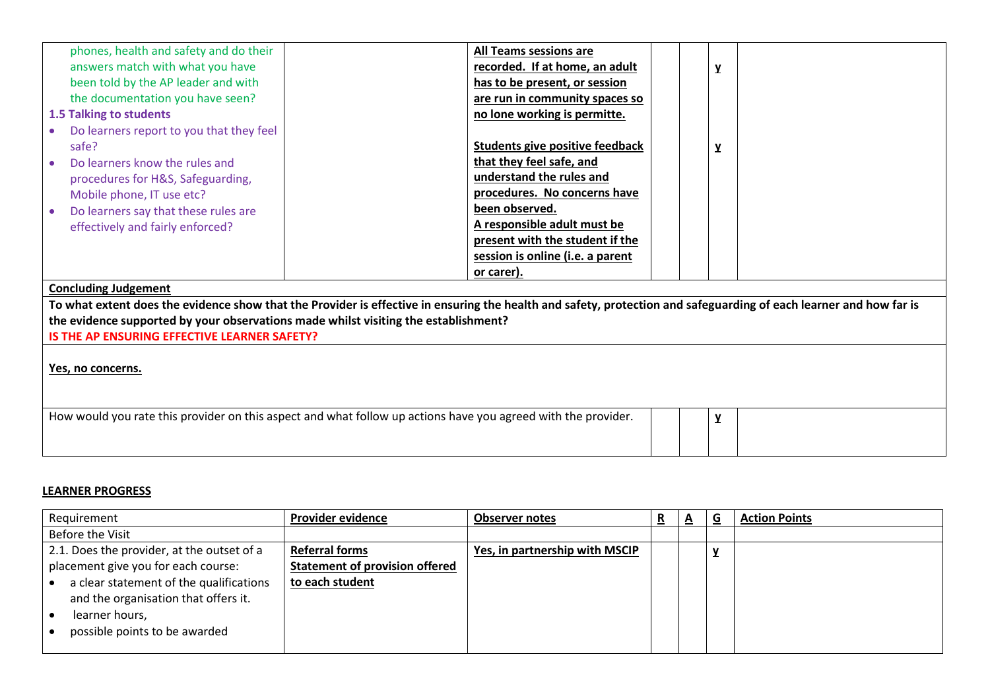| phones, health and safety and do their                                                                        | <b>All Teams sessions are</b>                                                                                                                                      |
|---------------------------------------------------------------------------------------------------------------|--------------------------------------------------------------------------------------------------------------------------------------------------------------------|
| answers match with what you have                                                                              | recorded. If at home, an adult<br>۷                                                                                                                                |
| been told by the AP leader and with                                                                           | has to be present, or session                                                                                                                                      |
| the documentation you have seen?                                                                              | are run in community spaces so                                                                                                                                     |
| 1.5 Talking to students                                                                                       | no lone working is permitte.                                                                                                                                       |
| Do learners report to you that they feel                                                                      |                                                                                                                                                                    |
| safe?                                                                                                         | <b>Students give positive feedback</b>                                                                                                                             |
| Do learners know the rules and                                                                                | that they feel safe, and                                                                                                                                           |
| procedures for H&S, Safeguarding,                                                                             | understand the rules and                                                                                                                                           |
| Mobile phone, IT use etc?                                                                                     | procedures. No concerns have                                                                                                                                       |
| Do learners say that these rules are                                                                          | been observed.                                                                                                                                                     |
| effectively and fairly enforced?                                                                              | A responsible adult must be                                                                                                                                        |
|                                                                                                               | present with the student if the                                                                                                                                    |
|                                                                                                               | session is online (i.e. a parent                                                                                                                                   |
|                                                                                                               | or carer).                                                                                                                                                         |
| <b>Concluding Judgement</b>                                                                                   |                                                                                                                                                                    |
|                                                                                                               | To what extent does the evidence show that the Provider is effective in ensuring the health and safety, protection and safeguarding of each learner and how far is |
| the evidence supported by your observations made whilst visiting the establishment?                           |                                                                                                                                                                    |
| IS THE AP ENSURING EFFECTIVE LEARNER SAFETY?                                                                  |                                                                                                                                                                    |
|                                                                                                               |                                                                                                                                                                    |
| Yes, no concerns.                                                                                             |                                                                                                                                                                    |
|                                                                                                               |                                                                                                                                                                    |
|                                                                                                               |                                                                                                                                                                    |
| How would you rate this provider on this aspect and what follow up actions have you agreed with the provider. | Y                                                                                                                                                                  |
|                                                                                                               |                                                                                                                                                                    |
|                                                                                                               |                                                                                                                                                                    |

### **LEARNER PROGRESS**

| Requirement                                                                     | <b>Provider evidence</b>              | <b>Observer notes</b>          | ै. | $\overline{a}$ | O | <b>Action Points</b> |
|---------------------------------------------------------------------------------|---------------------------------------|--------------------------------|----|----------------|---|----------------------|
| Before the Visit                                                                |                                       |                                |    |                |   |                      |
| 2.1. Does the provider, at the outset of a                                      | <b>Referral forms</b>                 | Yes, in partnership with MSCIP |    |                |   |                      |
| placement give you for each course:                                             | <b>Statement of provision offered</b> |                                |    |                |   |                      |
| a clear statement of the qualifications<br>and the organisation that offers it. | to each student                       |                                |    |                |   |                      |
| learner hours,                                                                  |                                       |                                |    |                |   |                      |
| possible points to be awarded                                                   |                                       |                                |    |                |   |                      |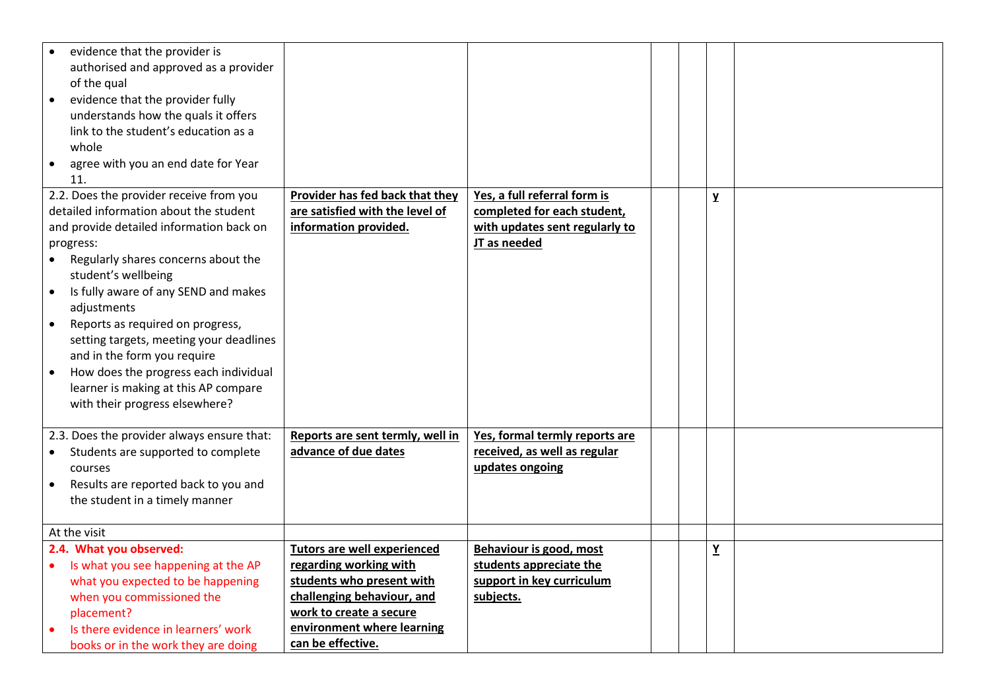| evidence that the provider is<br>authorised and approved as a provider<br>of the qual<br>evidence that the provider fully<br>$\bullet$<br>understands how the quals it offers<br>link to the student's education as a<br>whole<br>agree with you an end date for Year<br>$\bullet$<br>11.                                                                                                                                                                                                                                                            |                                                                                                                                                                                                       |                                                                                                               |  |                 |  |
|------------------------------------------------------------------------------------------------------------------------------------------------------------------------------------------------------------------------------------------------------------------------------------------------------------------------------------------------------------------------------------------------------------------------------------------------------------------------------------------------------------------------------------------------------|-------------------------------------------------------------------------------------------------------------------------------------------------------------------------------------------------------|---------------------------------------------------------------------------------------------------------------|--|-----------------|--|
| 2.2. Does the provider receive from you<br>detailed information about the student<br>and provide detailed information back on<br>progress:<br>Regularly shares concerns about the<br>$\bullet$<br>student's wellbeing<br>Is fully aware of any SEND and makes<br>$\bullet$<br>adjustments<br>Reports as required on progress,<br>$\bullet$<br>setting targets, meeting your deadlines<br>and in the form you require<br>How does the progress each individual<br>$\bullet$<br>learner is making at this AP compare<br>with their progress elsewhere? | Provider has fed back that they<br>are satisfied with the level of<br>information provided.                                                                                                           | Yes, a full referral form is<br>completed for each student,<br>with updates sent regularly to<br>JT as needed |  | $\mathbf{Y}$    |  |
| 2.3. Does the provider always ensure that:<br>Students are supported to complete<br>$\bullet$<br>courses<br>Results are reported back to you and<br>the student in a timely manner                                                                                                                                                                                                                                                                                                                                                                   | Reports are sent termly, well in<br>advance of due dates                                                                                                                                              | Yes, formal termly reports are<br>received, as well as regular<br>updates ongoing                             |  |                 |  |
| At the visit                                                                                                                                                                                                                                                                                                                                                                                                                                                                                                                                         |                                                                                                                                                                                                       |                                                                                                               |  |                 |  |
| 2.4. What you observed:<br>Is what you see happening at the AP<br>what you expected to be happening<br>when you commissioned the<br>placement?<br>Is there evidence in learners' work<br>books or in the work they are doing                                                                                                                                                                                                                                                                                                                         | <b>Tutors are well experienced</b><br>regarding working with<br>students who present with<br>challenging behaviour, and<br>work to create a secure<br>environment where learning<br>can be effective. | Behaviour is good, most<br>students appreciate the<br>support in key curriculum<br>subjects.                  |  | $\underline{Y}$ |  |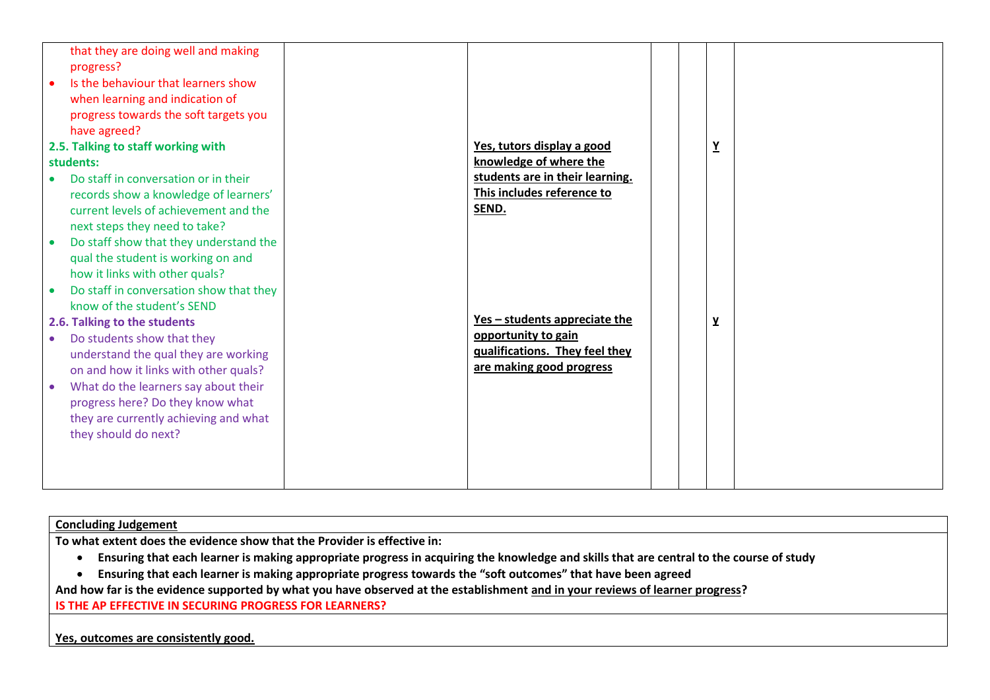|           | that they are doing well and making     |                                 |  |                          |  |
|-----------|-----------------------------------------|---------------------------------|--|--------------------------|--|
|           | progress?                               |                                 |  |                          |  |
| $\bullet$ | Is the behaviour that learners show     |                                 |  |                          |  |
|           | when learning and indication of         |                                 |  |                          |  |
|           | progress towards the soft targets you   |                                 |  |                          |  |
|           | have agreed?                            |                                 |  |                          |  |
|           | 2.5. Talking to staff working with      | Yes, tutors display a good      |  | $\underline{\mathbf{Y}}$ |  |
|           | students:                               | knowledge of where the          |  |                          |  |
|           | Do staff in conversation or in their    | students are in their learning. |  |                          |  |
|           | records show a knowledge of learners'   | This includes reference to      |  |                          |  |
|           | current levels of achievement and the   | SEND.                           |  |                          |  |
|           | next steps they need to take?           |                                 |  |                          |  |
|           | Do staff show that they understand the  |                                 |  |                          |  |
|           | qual the student is working on and      |                                 |  |                          |  |
|           | how it links with other quals?          |                                 |  |                          |  |
|           | Do staff in conversation show that they |                                 |  |                          |  |
|           | know of the student's SEND              |                                 |  |                          |  |
|           | 2.6. Talking to the students            | Yes - students appreciate the   |  | $\mathbf y$              |  |
|           | Do students show that they              | opportunity to gain             |  |                          |  |
|           | understand the qual they are working    | qualifications. They feel they  |  |                          |  |
|           | on and how it links with other quals?   | are making good progress        |  |                          |  |
|           | What do the learners say about their    |                                 |  |                          |  |
|           | progress here? Do they know what        |                                 |  |                          |  |
|           | they are currently achieving and what   |                                 |  |                          |  |
|           | they should do next?                    |                                 |  |                          |  |
|           |                                         |                                 |  |                          |  |
|           |                                         |                                 |  |                          |  |
|           |                                         |                                 |  |                          |  |
|           |                                         |                                 |  |                          |  |

# **Concluding Judgement**

**To what extent does the evidence show that the Provider is effective in:**

- **Ensuring that each learner is making appropriate progress in acquiring the knowledge and skills that are central to the course of study**
- **Ensuring that each learner is making appropriate progress towards the "soft outcomes" that have been agreed**

**And how far is the evidence supported by what you have observed at the establishment and in your reviews of learner progress?**

**IS THE AP EFFECTIVE IN SECURING PROGRESS FOR LEARNERS?**

**Yes, outcomes are consistently good.**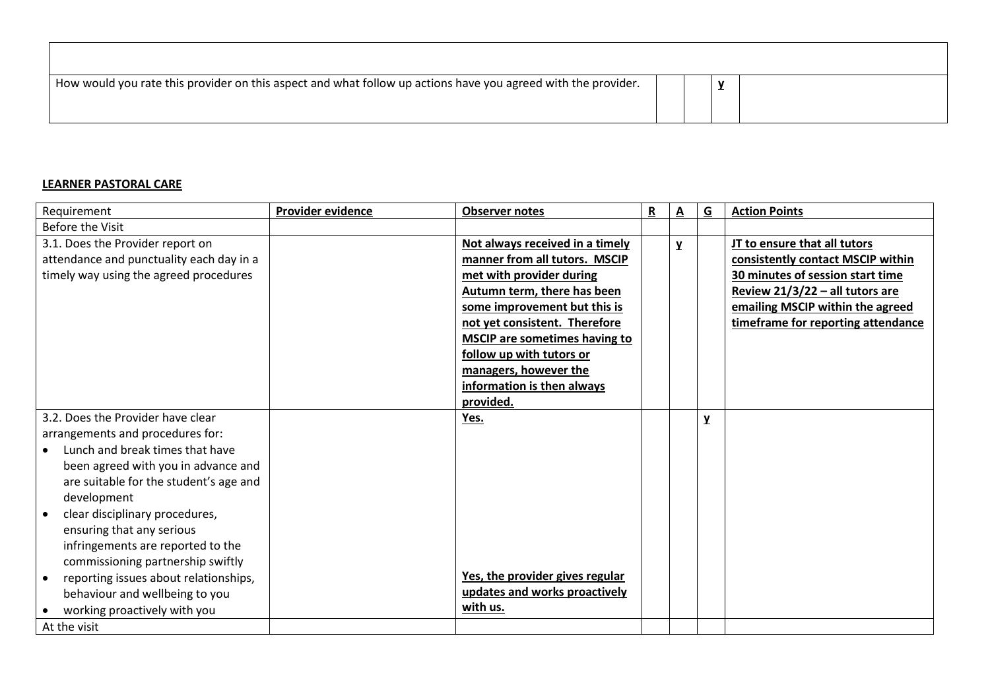| How would you rate this provider on this aspect and what follow up actions have you agreed with the provider. |  | $\mathbf{v}$ |  |
|---------------------------------------------------------------------------------------------------------------|--|--------------|--|
|                                                                                                               |  |              |  |

## **LEARNER PASTORAL CARE**

| Requirement                              | <b>Provider evidence</b> | <b>Observer notes</b>                | $\overline{\mathbf{R}}$ | A | $\overline{G}$ | <b>Action Points</b>               |
|------------------------------------------|--------------------------|--------------------------------------|-------------------------|---|----------------|------------------------------------|
| <b>Before the Visit</b>                  |                          |                                      |                         |   |                |                                    |
| 3.1. Does the Provider report on         |                          | Not always received in a timely      |                         | Y |                | JT to ensure that all tutors       |
| attendance and punctuality each day in a |                          | manner from all tutors. MSCIP        |                         |   |                | consistently contact MSCIP within  |
| timely way using the agreed procedures   |                          | met with provider during             |                         |   |                | 30 minutes of session start time   |
|                                          |                          | Autumn term, there has been          |                         |   |                | Review 21/3/22 - all tutors are    |
|                                          |                          | some improvement but this is         |                         |   |                | emailing MSCIP within the agreed   |
|                                          |                          | not yet consistent. Therefore        |                         |   |                | timeframe for reporting attendance |
|                                          |                          | <b>MSCIP</b> are sometimes having to |                         |   |                |                                    |
|                                          |                          | follow up with tutors or             |                         |   |                |                                    |
|                                          |                          | managers, however the                |                         |   |                |                                    |
|                                          |                          | information is then always           |                         |   |                |                                    |
|                                          |                          | provided.                            |                         |   |                |                                    |
| 3.2. Does the Provider have clear        |                          | Yes.                                 |                         |   | $\mathbf{Y}$   |                                    |
| arrangements and procedures for:         |                          |                                      |                         |   |                |                                    |
| Lunch and break times that have          |                          |                                      |                         |   |                |                                    |
| been agreed with you in advance and      |                          |                                      |                         |   |                |                                    |
| are suitable for the student's age and   |                          |                                      |                         |   |                |                                    |
| development                              |                          |                                      |                         |   |                |                                    |
| clear disciplinary procedures,           |                          |                                      |                         |   |                |                                    |
| ensuring that any serious                |                          |                                      |                         |   |                |                                    |
| infringements are reported to the        |                          |                                      |                         |   |                |                                    |
| commissioning partnership swiftly        |                          |                                      |                         |   |                |                                    |
| reporting issues about relationships,    |                          | Yes, the provider gives regular      |                         |   |                |                                    |
| behaviour and wellbeing to you           |                          | updates and works proactively        |                         |   |                |                                    |
| working proactively with you             |                          | with us.                             |                         |   |                |                                    |
| At the visit                             |                          |                                      |                         |   |                |                                    |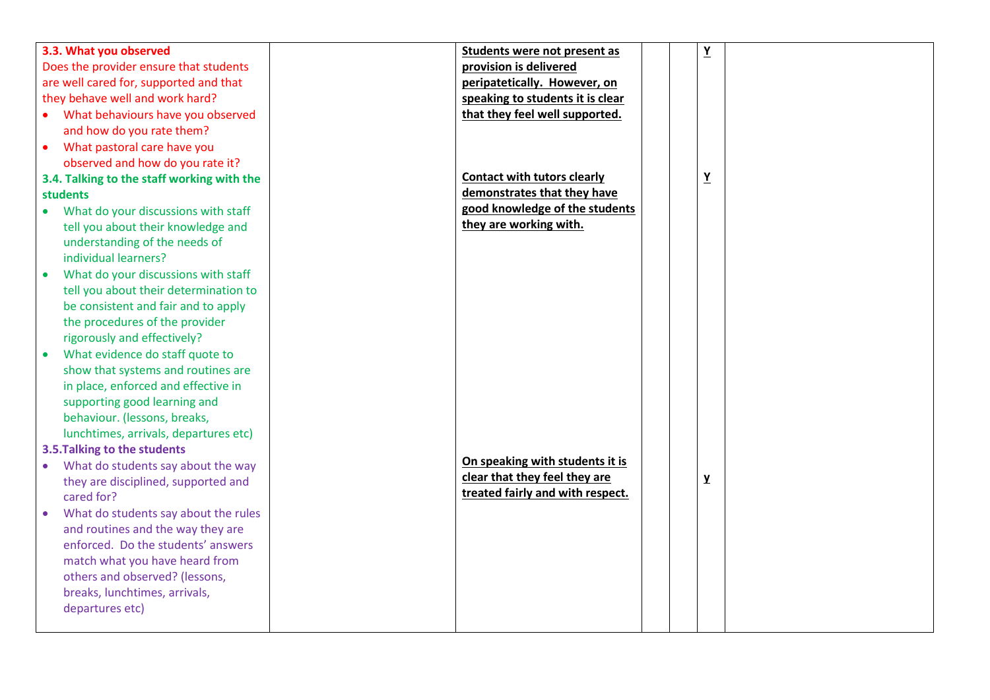| 3.3. What you observed                     | Students were not present as       | $\underline{\mathbf{Y}}$ |  |
|--------------------------------------------|------------------------------------|--------------------------|--|
| Does the provider ensure that students     | provision is delivered             |                          |  |
| are well cared for, supported and that     | peripatetically. However, on       |                          |  |
| they behave well and work hard?            | speaking to students it is clear   |                          |  |
| What behaviours have you observed          | that they feel well supported.     |                          |  |
| and how do you rate them?                  |                                    |                          |  |
| What pastoral care have you<br>$\bullet$   |                                    |                          |  |
| observed and how do you rate it?           |                                    |                          |  |
| 3.4. Talking to the staff working with the | <b>Contact with tutors clearly</b> | $\underline{Y}$          |  |
| <b>students</b>                            | demonstrates that they have        |                          |  |
| • What do your discussions with staff      | good knowledge of the students     |                          |  |
| tell you about their knowledge and         | they are working with.             |                          |  |
| understanding of the needs of              |                                    |                          |  |
| individual learners?                       |                                    |                          |  |
| What do your discussions with staff        |                                    |                          |  |
| tell you about their determination to      |                                    |                          |  |
| be consistent and fair and to apply        |                                    |                          |  |
| the procedures of the provider             |                                    |                          |  |
| rigorously and effectively?                |                                    |                          |  |
| What evidence do staff quote to            |                                    |                          |  |
| show that systems and routines are         |                                    |                          |  |
| in place, enforced and effective in        |                                    |                          |  |
| supporting good learning and               |                                    |                          |  |
| behaviour. (lessons, breaks,               |                                    |                          |  |
| lunchtimes, arrivals, departures etc)      |                                    |                          |  |
| 3.5. Talking to the students               |                                    |                          |  |
| What do students say about the way         | On speaking with students it is    |                          |  |
| they are disciplined, supported and        | clear that they feel they are      | Y                        |  |
| cared for?                                 | treated fairly and with respect.   |                          |  |
| What do students say about the rules       |                                    |                          |  |
| and routines and the way they are          |                                    |                          |  |
| enforced. Do the students' answers         |                                    |                          |  |
| match what you have heard from             |                                    |                          |  |
| others and observed? (lessons,             |                                    |                          |  |
| breaks, lunchtimes, arrivals,              |                                    |                          |  |
| departures etc)                            |                                    |                          |  |
|                                            |                                    |                          |  |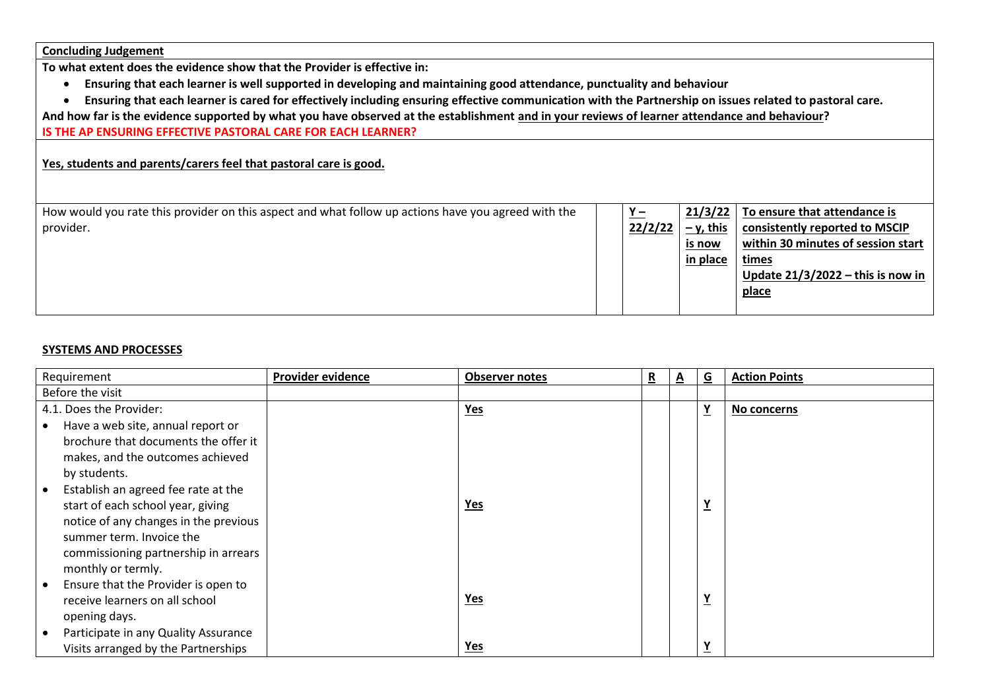|  | <b>Concluding Judgement</b> |  |
|--|-----------------------------|--|
|  |                             |  |

**To what extent does the evidence show that the Provider is effective in:**

- **Ensuring that each learner is well supported in developing and maintaining good attendance, punctuality and behaviour**
- **Ensuring that each learner is cared for effectively including ensuring effective communication with the Partnership on issues related to pastoral care.**

**And how far is the evidence supported by what you have observed at the establishment and in your reviews of learner attendance and behaviour?**

**IS THE AP ENSURING EFFECTIVE PASTORAL CARE FOR EACH LEARNER?**

## **Yes, students and parents/carers feel that pastoral care is good.**

| How would you rate this provider on this aspect and what follow up actions have you agreed with the | $Y -$   | 21/3/22     | To ensure that attendance is        |
|-----------------------------------------------------------------------------------------------------|---------|-------------|-------------------------------------|
| provider.                                                                                           | 22/2/22 | $-$ y, this | consistently reported to MSCIP      |
|                                                                                                     |         | is now      | within 30 minutes of session start  |
|                                                                                                     |         | in place    | times                               |
|                                                                                                     |         |             | Update $21/3/2022$ – this is now in |
|                                                                                                     |         |             | <u>place</u>                        |
|                                                                                                     |         |             |                                     |

### **SYSTEMS AND PROCESSES**

| Requirement                                      | Provider evidence | <b>Observer notes</b> | R | $\overline{\mathbf{v}}$ | $\underline{\mathsf{G}}$ | <b>Action Points</b> |
|--------------------------------------------------|-------------------|-----------------------|---|-------------------------|--------------------------|----------------------|
| Before the visit                                 |                   |                       |   |                         |                          |                      |
| 4.1. Does the Provider:                          |                   | $Yes$                 |   |                         | $\underline{Y}$          | No concerns          |
| Have a web site, annual report or<br>٠           |                   |                       |   |                         |                          |                      |
| brochure that documents the offer it             |                   |                       |   |                         |                          |                      |
| makes, and the outcomes achieved                 |                   |                       |   |                         |                          |                      |
| by students.                                     |                   |                       |   |                         |                          |                      |
| Establish an agreed fee rate at the              |                   |                       |   |                         |                          |                      |
| start of each school year, giving                |                   | <b>Yes</b>            |   |                         | $\underline{Y}$          |                      |
| notice of any changes in the previous            |                   |                       |   |                         |                          |                      |
| summer term. Invoice the                         |                   |                       |   |                         |                          |                      |
| commissioning partnership in arrears             |                   |                       |   |                         |                          |                      |
| monthly or termly.                               |                   |                       |   |                         |                          |                      |
| Ensure that the Provider is open to<br>$\bullet$ |                   |                       |   |                         |                          |                      |
| receive learners on all school                   |                   | <u>Yes</u>            |   |                         | Y                        |                      |
| opening days.                                    |                   |                       |   |                         |                          |                      |
| Participate in any Quality Assurance             |                   |                       |   |                         |                          |                      |
| Visits arranged by the Partnerships              |                   | <u>Yes</u>            |   |                         | $\underline{Y}$          |                      |